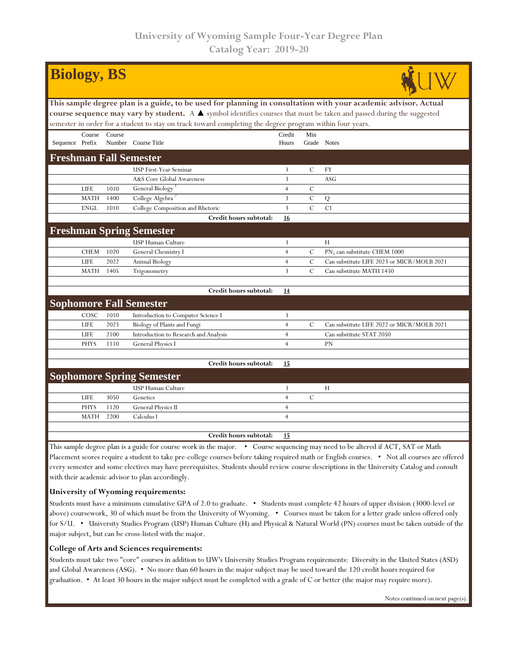| <b>Biology, BS</b>                                                                                                                           |             |        |                                                                                                                                 |                |                |                                            |  |  |  |  |  |
|----------------------------------------------------------------------------------------------------------------------------------------------|-------------|--------|---------------------------------------------------------------------------------------------------------------------------------|----------------|----------------|--------------------------------------------|--|--|--|--|--|
| This sample degree plan is a guide, to be used for planning in consultation with your academic advisor. Actual                               |             |        |                                                                                                                                 |                |                |                                            |  |  |  |  |  |
| course sequence may vary by student. A $\blacktriangle$ symbol identifies courses that must be taken and passed during the suggested         |             |        |                                                                                                                                 |                |                |                                            |  |  |  |  |  |
| semester in order for a student to stay on track toward completing the degree program within four years.                                     |             |        |                                                                                                                                 |                |                |                                            |  |  |  |  |  |
|                                                                                                                                              | Course      | Course |                                                                                                                                 | Credit         | Min            |                                            |  |  |  |  |  |
| Sequence Prefix                                                                                                                              |             |        | Number Course Title                                                                                                             | Hours          | Grade Notes    |                                            |  |  |  |  |  |
| <b>Freshman Fall Semester</b>                                                                                                                |             |        |                                                                                                                                 |                |                |                                            |  |  |  |  |  |
|                                                                                                                                              |             |        | USP First-Year Seminar                                                                                                          | 3              | C              | FY                                         |  |  |  |  |  |
|                                                                                                                                              |             |        | A&S Core Global Awareness                                                                                                       | 3              |                | <b>ASG</b>                                 |  |  |  |  |  |
|                                                                                                                                              | LIFE        | 1010   | <b>General Biology</b>                                                                                                          | $\overline{4}$ | $\mathbf C$    |                                            |  |  |  |  |  |
|                                                                                                                                              | <b>MATH</b> | 1400   | College Algebra <sup>2</sup>                                                                                                    | 3              | $\mathcal C$   | Q                                          |  |  |  |  |  |
|                                                                                                                                              | <b>ENGL</b> | 1010   | College Composition and Rhetoric                                                                                                | 3              | $\overline{C}$ | C1                                         |  |  |  |  |  |
|                                                                                                                                              |             |        | Credit hours subtotal:                                                                                                          | 16             |                |                                            |  |  |  |  |  |
|                                                                                                                                              |             |        | <b>Freshman Spring Semester</b>                                                                                                 |                |                |                                            |  |  |  |  |  |
|                                                                                                                                              |             |        | USP Human Culture                                                                                                               | 3              |                | H                                          |  |  |  |  |  |
|                                                                                                                                              | <b>CHEM</b> | 1020   | General Chemistry I                                                                                                             | $\overline{4}$ | $\mathbf C$    | PN; can substitute CHEM 1000               |  |  |  |  |  |
|                                                                                                                                              | <b>LIFE</b> | 2022   | Animal Biology                                                                                                                  | $\overline{4}$ | $\cal C$       | Can substitute LIFE 2023 or MICR/MOLB 2021 |  |  |  |  |  |
|                                                                                                                                              | <b>MATH</b> | 1405   | Trigonometry                                                                                                                    | 3              | $\mathcal{C}$  | Can substitute MATH 1450                   |  |  |  |  |  |
|                                                                                                                                              |             |        |                                                                                                                                 |                |                |                                            |  |  |  |  |  |
|                                                                                                                                              |             |        | Credit hours subtotal:                                                                                                          | 14             |                |                                            |  |  |  |  |  |
|                                                                                                                                              |             |        | <b>Sophomore Fall Semester</b>                                                                                                  |                |                |                                            |  |  |  |  |  |
|                                                                                                                                              | COSC        | 1010   | Introduction to Computer Science I                                                                                              | 3              |                |                                            |  |  |  |  |  |
|                                                                                                                                              | LIFE        | 2023   | Biology of Plants and Fungi                                                                                                     | $\overline{4}$ | $\mathcal{C}$  | Can substitute LIFE 2022 or MICR/MOLB 2021 |  |  |  |  |  |
|                                                                                                                                              | LIFE        | 2100   | Introduction to Research and Analysis                                                                                           | $\overline{4}$ |                | Can substitute STAT 2050                   |  |  |  |  |  |
|                                                                                                                                              | <b>PHYS</b> | 1110   | <b>General Physics I</b>                                                                                                        | $\overline{4}$ |                | <b>PN</b>                                  |  |  |  |  |  |
|                                                                                                                                              |             |        |                                                                                                                                 |                |                |                                            |  |  |  |  |  |
|                                                                                                                                              |             |        | Credit hours subtotal:                                                                                                          | 15             |                |                                            |  |  |  |  |  |
| <b>Sophomore Spring Semester</b>                                                                                                             |             |        |                                                                                                                                 |                |                |                                            |  |  |  |  |  |
|                                                                                                                                              |             |        | <b>USP Human Culture</b>                                                                                                        | 3              |                | H                                          |  |  |  |  |  |
|                                                                                                                                              | LIFE        | 3050   | Genetics                                                                                                                        | $\overline{4}$ | $\mathbf C$    |                                            |  |  |  |  |  |
|                                                                                                                                              | <b>PHYS</b> | 1120   | General Physics II                                                                                                              | $\overline{4}$ |                |                                            |  |  |  |  |  |
|                                                                                                                                              | <b>MATH</b> | 2200   | Calculus I                                                                                                                      | $\overline{4}$ |                |                                            |  |  |  |  |  |
|                                                                                                                                              |             |        | Credit hours subtotal:                                                                                                          | 15             |                |                                            |  |  |  |  |  |
|                                                                                                                                              |             |        |                                                                                                                                 |                |                |                                            |  |  |  |  |  |
|                                                                                                                                              |             |        | This sample degree plan is a guide for course work in the major. • Course sequencing may need to be altered if ACT, SAT or Math |                |                |                                            |  |  |  |  |  |
| Placement scores require a student to take pre-college courses before taking required math or English courses. . Not all courses are offered |             |        |                                                                                                                                 |                |                |                                            |  |  |  |  |  |

every semester and some electives may have prerequisites. Students should review course descriptions in the University Catalog and consult with their academic advisor to plan accordingly.

## **University of Wyoming requirements:**

Students must have a minimum cumulative GPA of 2.0 to graduate. • Students must complete 42 hours of upper division (3000-level or above) coursework, 30 of which must be from the University of Wyoming. • Courses must be taken for a letter grade unless offered only for S/U. • University Studies Program (USP) Human Culture (H) and Physical & Natural World (PN) courses must be taken outside of the major subject, but can be cross-listed with the major.

## **College of Arts and Sciences requirements:**

Students must take two "core" courses in addition to UW's University Studies Program requirements: Diversity in the United States (ASD) and Global Awareness (ASG). • No more than 60 hours in the major subject may be used toward the 120 credit hours required for graduation. • At least 30 hours in the major subject must be completed with a grade of C or better (the major may require more).